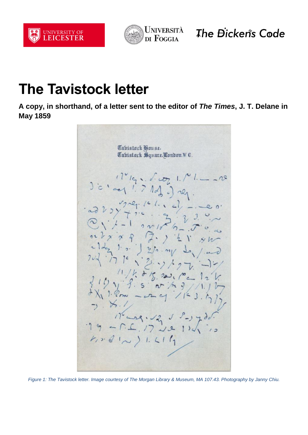



The Dicken's Code

## **The Tavistock letter**

**A copy, in shorthand, of a letter sent to the editor of** *The Times***, J. T. Delane in May 1859**



*Figure 1: The Tavistock letter. Image courtesy of The Morgan Library & Museum, MA 107.43. Photography by Janny Chiu.*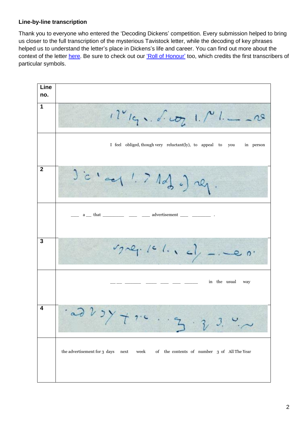## **Line-by-line transcription**

Thank you to everyone who entered the 'Decoding Dickens' competition. Every submission helped to bring us closer to the full transcription of the mysterious Tavistock letter, while the decoding of key phrases helped us to understand the letter's place in Dickens's life and career. You can find out more about the context of the letter [here.](https://le.ac.uk/news/2022/february/dickens-code-tavistock-letter) Be sure to check out our ['Roll of Honour'](https://dickenscode.org/roll-of-honour/) too, which credits the first transcribers of particular symbols.

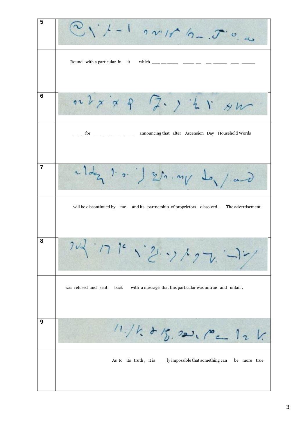**5**  $1 - 1$  22/1  $2 - 5$ Round with a particular in it which  $\frac{1}{\sqrt{2}}$ **6**  $n \nless p \times q$  $7.24$ \_\_ \_ for \_\_\_ \_\_ \_\_ \_\_ announcing that after Ascension Day Household Words **7**  $\left| \cdot \right|$  $25.ny \rightarrow y \rightarrow z$  will be discontinued by me and its partnership of proprietors dissolved . The advertisement フレイ・ハイ・ンシックし **8** was refused and sent back with a message that this particular was untrue and unfair . **9**  $11.11.845.221.72112$ As to its truth, it is \_\_\_\_\_ly impossible that something can be more true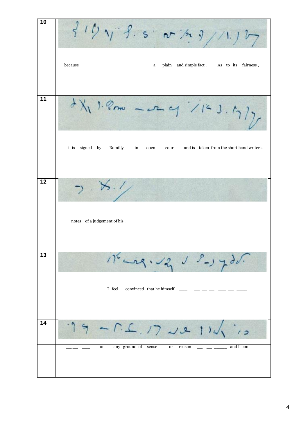